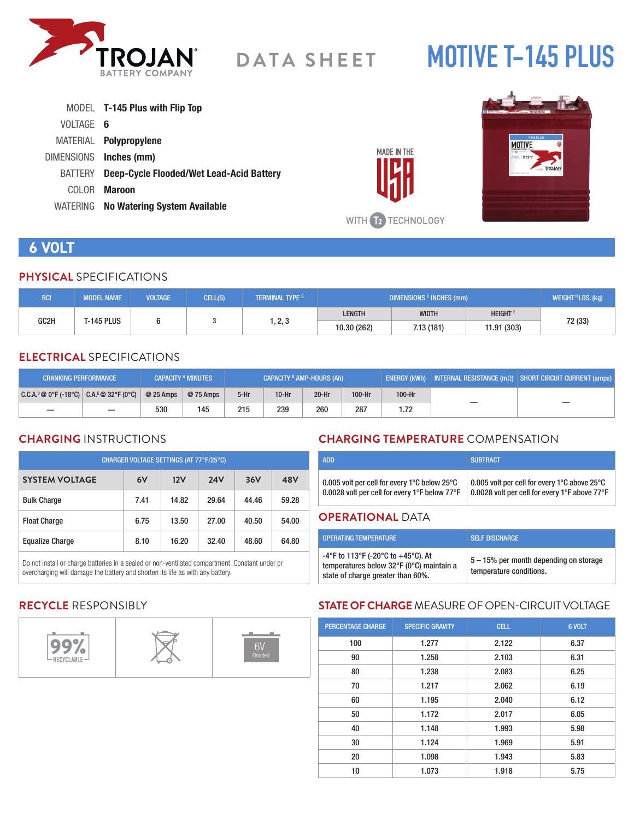

# **MOTIVE T-145 PLUS**

|           | MODEL <b>T-145 Plus with Flip Top</b>           |
|-----------|-------------------------------------------------|
| VOLTAGE 6 |                                                 |
|           | MATERIAL <b>Polypropylene</b>                   |
|           | DIMENSIONS Inches (mm)                          |
| BATTERY   | <b>Deep-Cycle Flooded/Wet Lead-Acid Battery</b> |
| COLOR.    | <b>Maroon</b>                                   |
|           | WATERING No Watering System Available           |





# **6 VOLT**

#### **PHYSICAL** SPECIFICATIONS

| <b>BCI</b> | <b>MODEL NAME</b>     | <b>VOLTAGE</b> | CELL(S)   | <b>TERMINAL TYPE G</b> | DIMENSIONS <sup>c</sup> INCHES (mm) |              |               | WEIGHT <sup>H</sup> LBS. (kg) |
|------------|-----------------------|----------------|-----------|------------------------|-------------------------------------|--------------|---------------|-------------------------------|
| GC2H       | t-145 plus<br>1, 2, 3 |                |           |                        | LENGTH                              | <b>WIDTH</b> | <b>HEIGHT</b> |                               |
|            |                       | 10.30 (262)    | 7.13(181) | 11.91 (303)            | 72 (33)                             |              |               |                               |

#### **ELECTRICAL** SPECIFICATIONS

| <b>CRANKING PERFORMANCE</b>                  |                          |            | <b>CAPACITY A MINUTES</b> | CAPACITY <sup>B</sup> AMP-HOURS (Ah) |         |         | $\mid$ ENERGY (kWh) $\mid$ INTERNAL RESISTANCE (m $\Omega$ ) $\mid$ SHORT CIRCUIT CURRENT (amps) $\mid$ |        |  |
|----------------------------------------------|--------------------------|------------|---------------------------|--------------------------------------|---------|---------|---------------------------------------------------------------------------------------------------------|--------|--|
| $ C.C.A.^p@0^cF(-18^cC) C.A.^E@32^cF(0^cC) $ |                          | $@25$ Amps | @ 75 Amps                 | $5-Hr$                               | $10-Hr$ | $20-Hr$ | 100-Hr                                                                                                  | 100-Hr |  |
|                                              | $\overline{\phantom{m}}$ | 530        | 145                       | 215                                  | 239     | 260     | 287                                                                                                     | 1.72   |  |

## **CHARGING** INSTRUCTIONS

| CHARGER VOLTAGE SETTINGS (AT 77°F/25°C) |      |       |            |       |       |  |  |
|-----------------------------------------|------|-------|------------|-------|-------|--|--|
| <b>SYSTEM VOLTAGE</b>                   | 6V   | 12V   | <b>24V</b> | 36V   | 48V   |  |  |
| <b>Bulk Charge</b>                      | 7.41 | 14.82 | 29.64      | 44.46 | 59.28 |  |  |
| <b>Float Charge</b>                     | 6.75 | 13.50 | 27.00      | 40.50 | 54.00 |  |  |
| <b>Equalize Charge</b>                  | 8.10 | 16.20 | 32.40      | 48.60 | 64.80 |  |  |

Do not install or charge batteries in a sealed or non-ventilated compartment. Constant under or overcharging will damage the battery and shorten its life as with any battery.

## **CHARGING TEMPERATURE** COMPENSATION

| <b>ADD</b>                                                         | <b>SUBTRACT</b>                               |
|--------------------------------------------------------------------|-----------------------------------------------|
| 0.005 volt per cell for every 1 $^{\circ}$ C below 25 $^{\circ}$ C | 0.005 volt per cell for every 1°C above 25°C  |
| 0.0028 volt per cell for every 1°F below 77°F                      | 0.0028 volt per cell for every 1°F above 77°F |

#### **OPERATIONAL** DATA

| <b>OPERATING TEMPERATURE</b>                                                                                        | <b>SELF DISCHARGE</b>                                             |
|---------------------------------------------------------------------------------------------------------------------|-------------------------------------------------------------------|
| -4°F to 113°F (-20°C to +45°C). At<br>temperatures below 32°F (0°C) maintain a<br>state of charge greater than 60%. | 5 – 15% per month depending on storage<br>temperature conditions. |

## **RECYCLE** RESPONSIBLY



## **STATE OF CHARGE** MEASURE OF OPEN-CIRCUIT VOLTAGE

| <b>PERCENTAGE CHARGE</b> | <b>SPECIFIC GRAVITY</b> | <b>CELL</b> | 6 VOLT |
|--------------------------|-------------------------|-------------|--------|
| 100                      | 1.277                   | 2.122       | 6.37   |
| 90                       | 1.258                   | 2.103       | 6.31   |
| 80                       | 1.238                   | 2.083       | 6.25   |
| 70                       | 1.217                   | 2.062       | 6.19   |
| 60                       | 1.195                   | 2.040       | 6.12   |
| 50                       | 1.172                   | 2.017       | 6.05   |
| 40                       | 1.148                   | 1.993       | 5.98   |
| 30                       | 1.124                   | 1.969       | 5.91   |
| 20                       | 1.098                   | 1.943       | 5.83   |
| 10                       | 1.073                   | 1.918       | 5.75   |